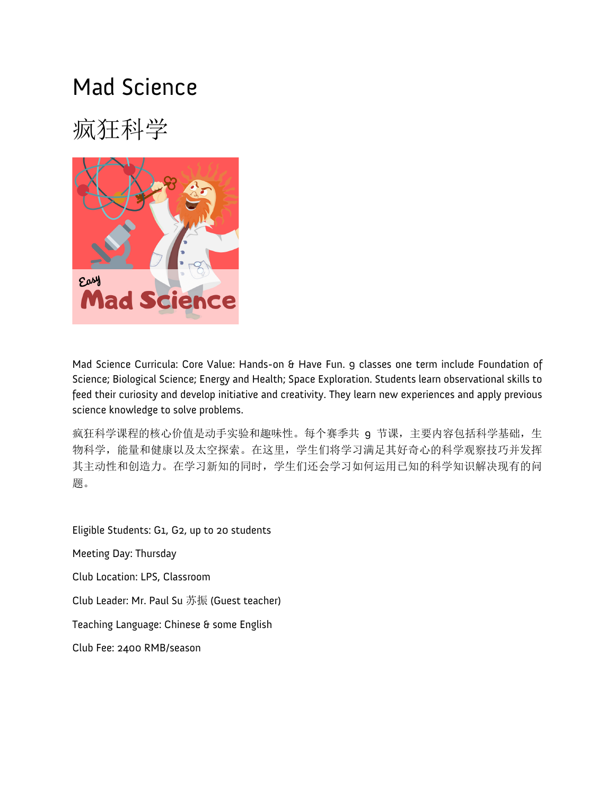#### Mad Science

## 疯狂科学



Mad Science Curricula: Core Value: Hands-on & Have Fun. 9 classes one term include Foundation of Science; Biological Science; Energy and Health; Space Exploration. Students learn observational skills to feed their curiosity and develop initiative and creativity. They learn new experiences and apply previous science knowledge to solve problems.

疯狂科学课程的核心价值是动手实验和趣味性。每个赛季共 9 节课, 主要内容包括科学基础, 生 物科学,能量和健康以及太空探索。在这里,学生们将学习满足其好奇心的科学观察技巧并发挥 其主动性和创造力。在学习新知的同时,学生们还会学习如何运用已知的科学知识解决现有的问 题。

Eligible Students: G1, G2, up to 20 students

Meeting Day: Thursday

Club Location: LPS, Classroom

Club Leader: Mr. Paul Su 苏振 (Guest teacher)

Teaching Language: Chinese & some English

Club Fee: 2400 RMB/season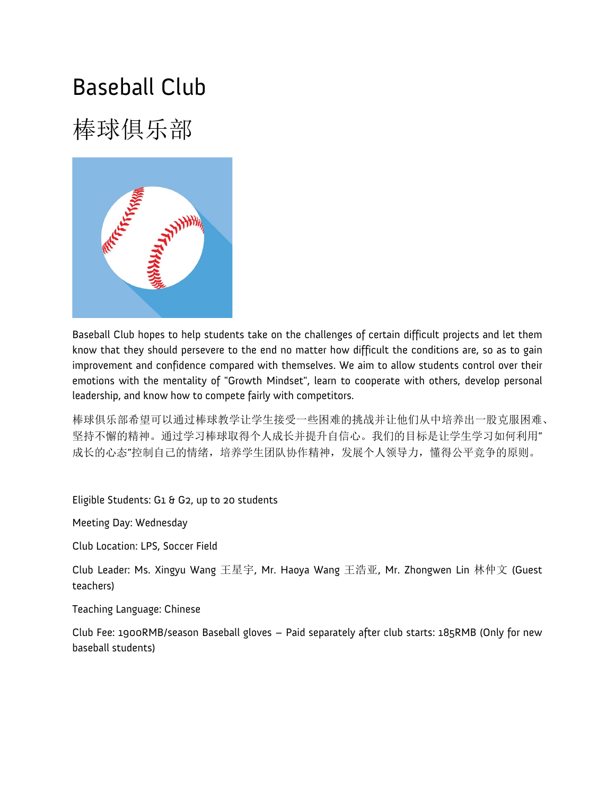#### Baseball Club

# 棒球俱乐部



Baseball Club hopes to help students take on the challenges of certain difficult projects and let them know that they should persevere to the end no matter how difficult the conditions are, so as to gain improvement and confidence compared with themselves. We aim to allow students control over their emotions with the mentality of "Growth Mindset", learn to cooperate with others, develop personal leadership, and know how to compete fairly with competitors.

棒球俱乐部希望可以通过棒球教学让学生接受一些困难的挑战并让他们从中培养出一股克服困难、 坚持不懈的精神。通过学习棒球取得个人成长并提升自信心。我们的目标是让学生学习如何利用" 成长的心态"控制自己的情绪,培养学生团队协作精神,发展个人领导力,懂得公平竞争的原则。

Eligible Students: G1 & G2, up to 20 students

Meeting Day: Wednesday

Club Location: LPS, Soccer Field

Club Leader: Ms. Xingyu Wang 王星宇, Mr. Haoya Wang 王浩亚, Mr. Zhongwen Lin 林仲文 (Guest teachers)

Teaching Language: Chinese

Club Fee: 1900RMB/season Baseball gloves – Paid separately after club starts: 185RMB (Only for new baseball students)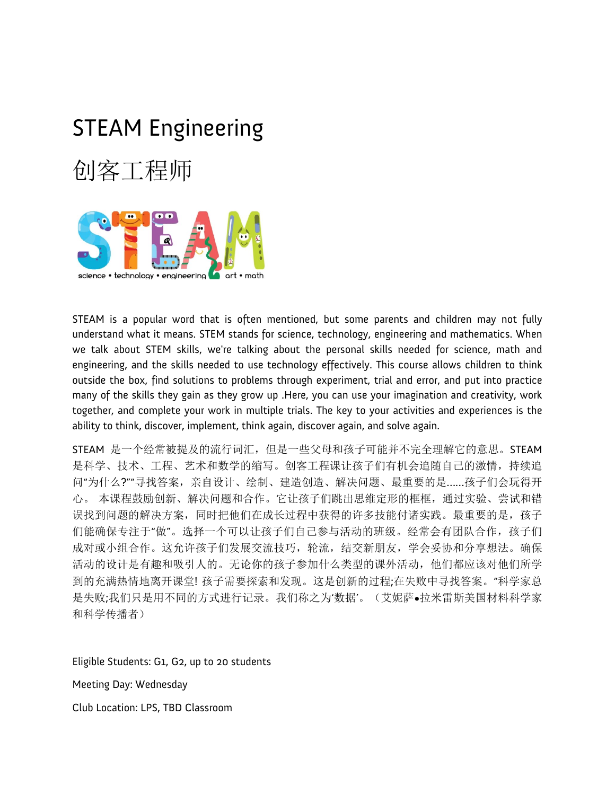# STEAM Engineering 创客工程师



STEAM is a popular word that is often mentioned, but some parents and children may not fully understand what it means. STEM stands for science, technology, engineering and mathematics. When we talk about STEM skills, we're talking about the personal skills needed for science, math and engineering, and the skills needed to use technology effectively. This course allows children to think outside the box, find solutions to problems through experiment, trial and error, and put into practice many of the skills they gain as they grow up .Here, you can use your imagination and creativity, work together, and complete your work in multiple trials. The key to your activities and experiences is the ability to think, discover, implement, think again, discover again, and solve again.

STEAM 是一个经常被提及的流行词汇,但是一些父母和孩子可能并不完全理解它的意思。STEAM 是科学、技术、工程、艺术和数学的缩写。创客工程课让孩子们有机会追随自己的激情,持续追 问"为什么?""寻找答案,亲自设计、绘制、建造创造、解决问题、最重要的是……孩子们会玩得开 心。 本课程鼓励创新、解决问题和合作。它让孩子们跳出思维定形的框框,通过实验、尝试和错 误找到问题的解决方案,同时把他们在成长过程中获得的许多技能付诸实践。最重要的是,孩子 们能确保专注于"做"。选择一个可以让孩子们自己参与活动的班级。经常会有团队合作,孩子们 成对或小组合作。这允许孩子们发展交流技巧,轮流,结交新朋友,学会妥协和分享想法。确保 活动的设计是有趣和吸引人的。无论你的孩子参加什么类型的课外活动,他们都应该对他们所学 到的充满热情地离开课堂! 孩子需要探索和发现。这是创新的过程;在失败中寻找答案。"科学家总 是失败;我们只是用不同的方式进行记录。我们称之为'数据'。(艾妮萨•拉米雷斯美国材料科学家 和科学传播者)

Eligible Students: G1, G2, up to 20 students

Meeting Day: Wednesday

Club Location: LPS, TBD Classroom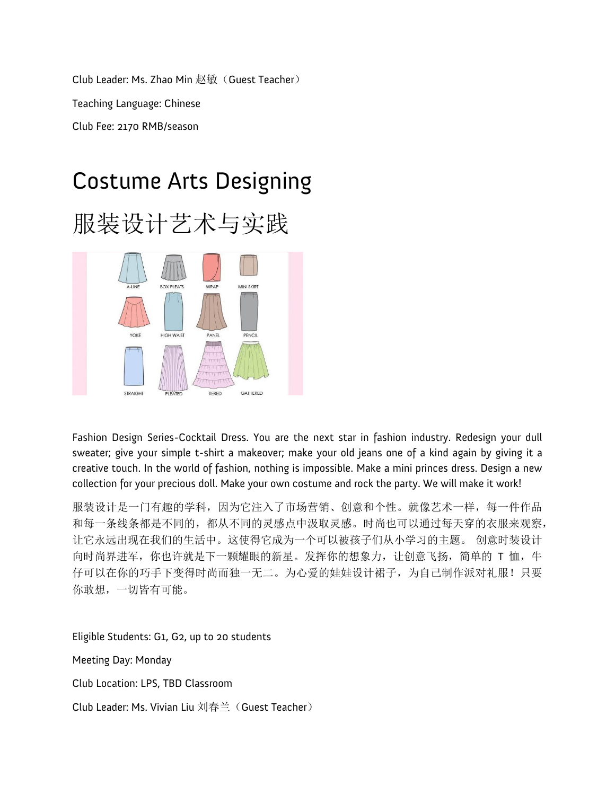Club Leader: Ms. Zhao Min 赵敏(Guest Teacher) Teaching Language: Chinese Club Fee: 2170 RMB/season

#### Costume Arts Designing





Fashion Design Series-Cocktail Dress. You are the next star in fashion industry. Redesign your dull sweater; give your simple t-shirt a makeover; make your old jeans one of a kind again by giving it a creative touch. In the world of fashion, nothing is impossible. Make a mini princes dress. Design a new collection for your precious doll. Make your own costume and rock the party. We will make it work!

服装设计是一门有趣的学科,因为它注入了市场营销、创意和个性。就像艺术一样,每一件作品 和每一条线条都是不同的,都从不同的灵感点中汲取灵感。时尚也可以通过每天穿的衣服来观察, 让它永远出现在我们的生活中。这使得它成为一个可以被孩子们从小学习的主题。 创意时装设计 向时尚界进军, 你也许就是下一颗耀眼的新星。发挥你的想象力, 让创意飞扬, 简单的 T 恤, 牛 仔可以在你的巧手下变得时尚而独一无二。为心爱的娃娃设计裙子,为自己制作派对礼服!只要 你敢想,一切皆有可能。

Eligible Students: G1, G2, up to 20 students

Meeting Day: Monday

Club Location: LPS, TBD Classroom

Club Leader: Ms. Vivian Liu 刘春兰(Guest Teacher)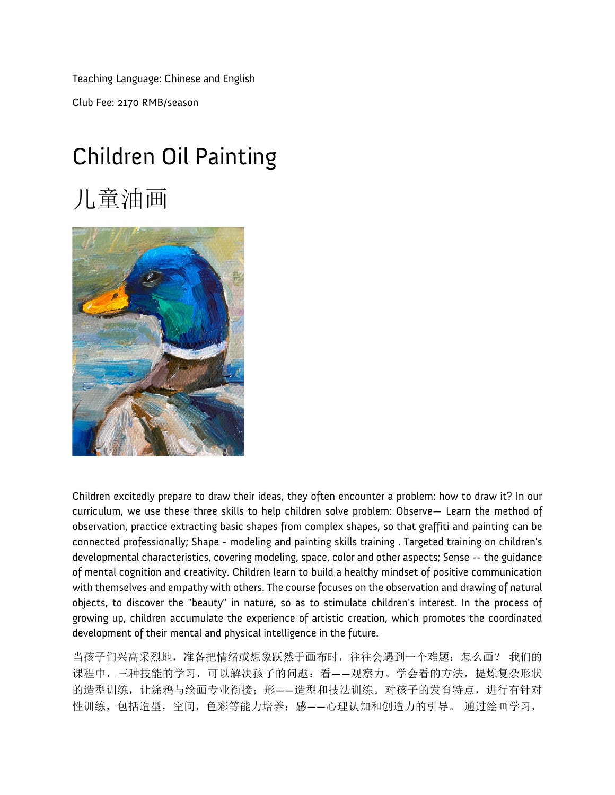Teaching Language: Chinese and English Club Fee: 2170 RMB/season

## Children Oil Painting

## 儿童油画



Children excitedly prepare to draw their ideas, they often encounter a problem: how to draw it? In our curriculum, we use these three skills to help children solve problem: Observe— Learn the method of observation, practice extracting basic shapes from complex shapes, so that graffiti and painting can be connected professionally; Shape - modeling and painting skills training . Targeted training on children's developmental characteristics, covering modeling, space, color and other aspects; Sense -- the guidance of mental cognition and creativity. Children learn to build a healthy mindset of positive communication with themselves and empathy with others. The course focuses on the observation and drawing of natural objects, to discover the "beauty" in nature, so as to stimulate children's interest. In the process of growing up, children accumulate the experience of artistic creation, which promotes the coordinated development of their mental and physical intelligence in the future.

当孩子们兴高采烈地,准备把情绪或想象跃然于画布时,往往会遇到一个难题:怎么画? 我们的 课程中,三种技能的学习,可以解决孩子的问题:看——观察力。学会看的方法,提炼复杂形状 的造型训练,让涂鸦与绘画专业衔接;形——造型和技法训练。对孩子的发育特点,进行有针对 性训练,包括造型,空间,色彩等能力培养;感——心理认知和创造力的引导。 通过绘画学习,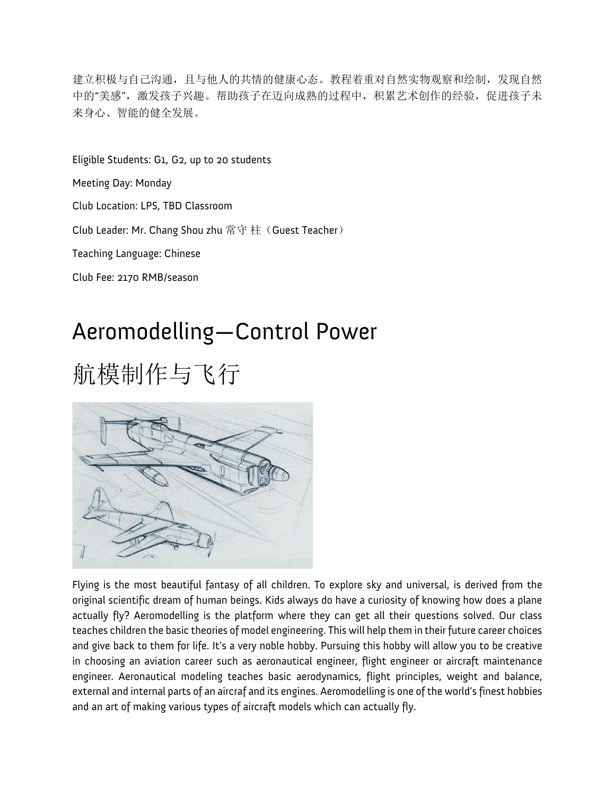建立积极与自己沟通,且与他人的共情的健康心态。教程着重对自然实物观察和绘制,发现自然 中的"美感",激发孩子兴趣。帮助孩子在迈向成熟的过程中,积累艺术创作的经验,促进孩子未 来身心、智能的健全发展。

Eligible Students: G1, G2, up to 20 students Meeting Day: Monday Club Location: LPS, TBD Classroom Club Leader: Mr. Chang Shou zhu 常守柱(Guest Teacher) Teaching Language: Chinese Club Fee: 2170 RMB/season

#### Aeromodelling—Control Power

# 航模制作与飞行



Flying is the most beautiful fantasy of all children. To explore sky and universal, is derived from the original scientific dream of human beings. Kids always do have a curiosity of knowing how does a plane actually fly? Aeromodelling is the platform where they can get all their questions solved. Our class teaches children the basic theories of model engineering. This will help them in their future career choices and give back to them for life. It's a very noble hobby. Pursuing this hobby will allow you to be creative in choosing an aviation career such as aeronautical engineer, flight engineer or aircraft maintenance engineer. Aeronautical modeling teaches basic aerodynamics, flight principles, weight and balance, external and internal parts of an aircraf and its engines. Aeromodelling is one of the world's finest hobbies and an art of making various types of aircraft models which can actually fly.